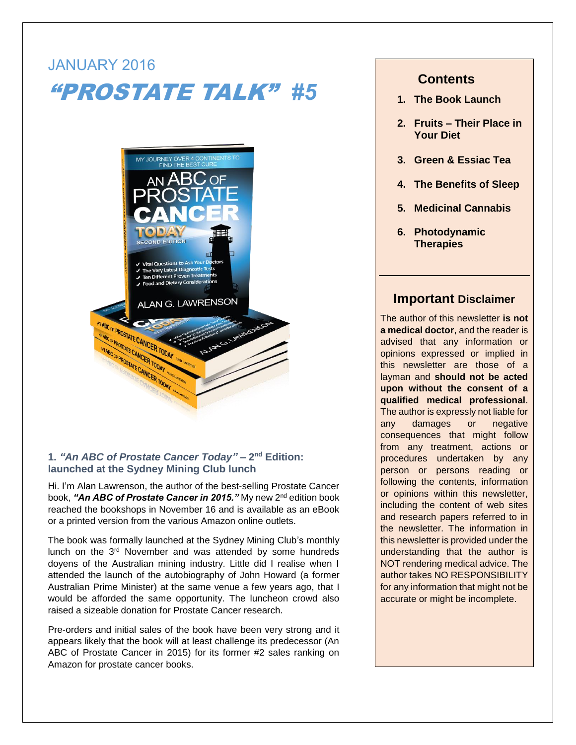# JANUARY 2016 "PROSTATE TALK" *#5*



## **1.** *"An ABC of Prostate Cancer Today"* **– 2 nd Edition: launched at the Sydney Mining Club lunch**

Hi. I'm Alan Lawrenson, the author of the best-selling Prostate Cancer book, **"A***n ABC of Prostate Cancer in 2015."* **M**y new 2<sup>nd</sup> edition book reached the bookshops in November 16 and is available as an eBook or a printed version from the various Amazon online outlets.

The book was formally launched at the Sydney Mining Club's monthly lunch on the 3<sup>rd</sup> November and was attended by some hundreds doyens of the Australian mining industry. Little did I realise when I attended the launch of the autobiography of John Howard (a former Australian Prime Minister) at the same venue a few years ago, that I would be afforded the same opportunity. The luncheon crowd also raised a sizeable donation for Prostate Cancer research.

Pre-orders and initial sales of the book have been very strong and it appears likely that the book will at least challenge its predecessor (An ABC of Prostate Cancer in 2015) for its former #2 sales ranking on Amazon for prostate cancer books.

# **Contents**

- **1. The Book Launch**
- **2. Fruits – Their Place in Your Diet**
- **3. Green & Essiac Tea**
- **4. The Benefits of Sleep**
- **5. Medicinal Cannabis**
- **6. Photodynamic Therapies**

## **Important Disclaimer**

The author of this newsletter **is not a medical doctor**, and the reader is advised that any information or opinions expressed or implied in this newsletter are those of a layman and **should not be acted upon without the consent of a qualified medical professional**. The author is expressly not liable for any damages or negative consequences that might follow from any treatment, actions or procedures undertaken by any person or persons reading or following the contents, information or opinions within this newsletter, including the content of web sites and research papers referred to in the newsletter. The information in this newsletter is provided under the understanding that the author is NOT rendering medical advice. The author takes NO RESPONSIBILITY for any information that might not be accurate or might be incomplete.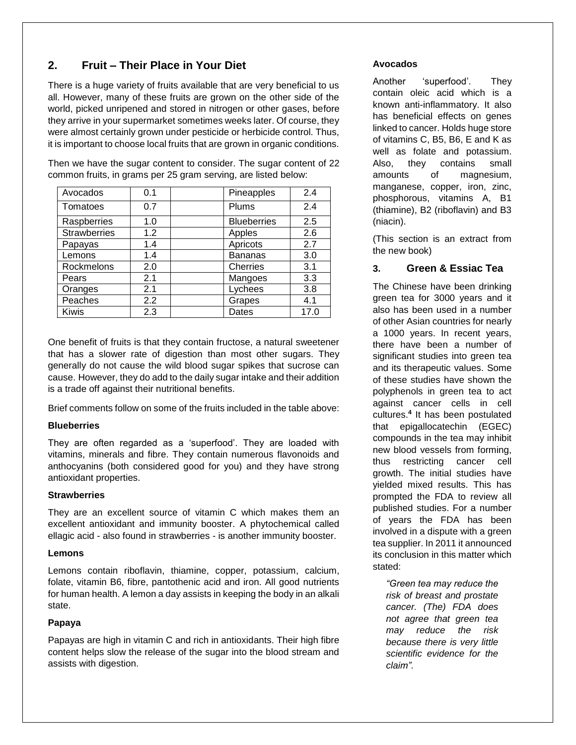# **2. Fruit – Their Place in Your Diet**

There is a huge variety of fruits available that are very beneficial to us all. However, many of these fruits are grown on the other side of the world, picked unripened and stored in nitrogen or other gases, before they arrive in your supermarket sometimes weeks later. Of course, they were almost certainly grown under pesticide or herbicide control. Thus, it is important to choose local fruits that are grown in organic conditions.

Then we have the sugar content to consider. The sugar content of 22 common fruits, in grams per 25 gram serving, are listed below:

| Avocados            | 0.1 | Pineapples         | 2.4  |
|---------------------|-----|--------------------|------|
| Tomatoes            | 0.7 | Plums              | 2.4  |
| Raspberries         | 1.0 | <b>Blueberries</b> | 2.5  |
| <b>Strawberries</b> | 1.2 | Apples             | 2.6  |
| Papayas             | 1.4 | Apricots           | 2.7  |
| Lemons              | 1.4 | <b>Bananas</b>     | 3.0  |
| Rockmelons          | 2.0 | <b>Cherries</b>    | 3.1  |
| Pears               | 2.1 | Mangoes            | 3.3  |
| Oranges             | 2.1 | Lychees            | 3.8  |
| Peaches             | 2.2 | Grapes             | 4.1  |
| <b>Kiwis</b>        | 2.3 | Dates              | 17.0 |

One benefit of fruits is that they contain fructose, a natural sweetener that has a slower rate of digestion than most other sugars. They generally do not cause the wild blood sugar spikes that sucrose can cause. However, they do add to the daily sugar intake and their addition is a trade off against their nutritional benefits.

Brief comments follow on some of the fruits included in the table above:

#### **Blueberries**

They are often regarded as a 'superfood'. They are loaded with vitamins, minerals and fibre. They contain numerous flavonoids and anthocyanins (both considered good for you) and they have strong antioxidant properties.

#### **Strawberries**

They are an excellent source of vitamin C which makes them an excellent antioxidant and immunity booster. A phytochemical called ellagic acid - also found in strawberries - is another immunity booster.

### **Lemons**

Lemons contain riboflavin, thiamine, copper, potassium, calcium, folate, vitamin B6, fibre, pantothenic acid and iron. All good nutrients for human health. A lemon a day assists in keeping the body in an alkali state.

### **Papaya**

Papayas are high in vitamin C and rich in antioxidants. Their high fibre content helps slow the release of the sugar into the blood stream and assists with digestion.

### **Avocados**

Another 'superfood'. They contain oleic acid which is a known anti-inflammatory. It also has beneficial effects on genes linked to cancer. Holds huge store of vitamins C, B5, B6, E and K as well as folate and potassium. Also, they contains small amounts of magnesium, manganese, copper, iron, zinc, phosphorous, vitamins A, B1 (thiamine), B2 (riboflavin) and B3 (niacin).

(This section is an extract from the new book)

## **3. Green & Essiac Tea**

The Chinese have been drinking green tea for 3000 years and it also has been used in a number of other Asian countries for nearly a 1000 years. In recent years, there have been a number of significant studies into green tea and its therapeutic values. Some of these studies have shown the polyphenols in green tea to act against cancer cells in cell cultures.**<sup>4</sup>** It has been postulated that epigallocatechin (EGEC) compounds in the tea may inhibit new blood vessels from forming, thus restricting cancer cell growth. The initial studies have yielded mixed results. This has prompted the FDA to review all published studies. For a number of years the FDA has been involved in a dispute with a green tea supplier. In 2011 it announced its conclusion in this matter which stated:

*"Green tea may reduce the risk of breast and prostate cancer. (The) FDA does not agree that green tea may reduce the risk because there is very little scientific evidence for the claim".*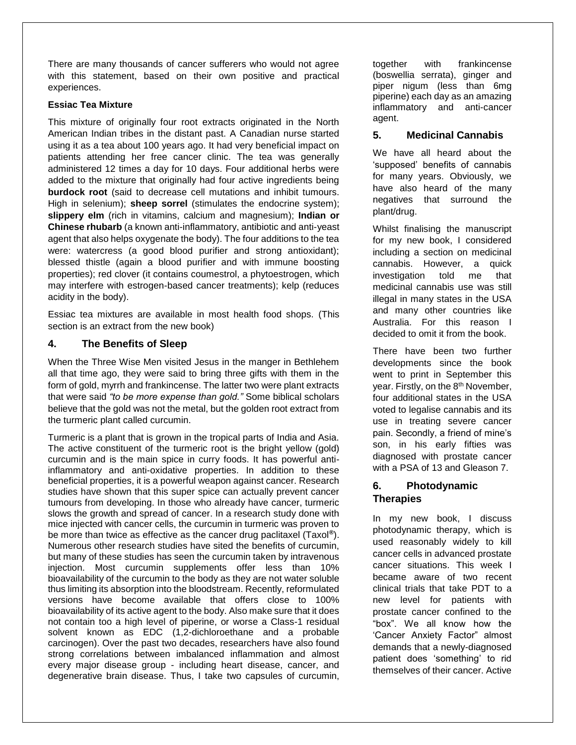There are many thousands of cancer sufferers who would not agree with this statement, based on their own positive and practical experiences.

#### **Essiac Tea Mixture**

This mixture of originally four root extracts originated in the North American Indian tribes in the distant past. A Canadian nurse started using it as a tea about 100 years ago. It had very beneficial impact on patients attending her free cancer clinic. The tea was generally administered 12 times a day for 10 days. Four additional herbs were added to the mixture that originally had four active ingredients being **burdock root** (said to decrease cell mutations and inhibit tumours. High in selenium); **sheep sorrel** (stimulates the endocrine system); **slippery elm** (rich in vitamins, calcium and magnesium); **Indian or Chinese rhubarb** (a known anti-inflammatory, antibiotic and anti-yeast agent that also helps oxygenate the body). The four additions to the tea were: watercress (a good blood purifier and strong antioxidant); blessed thistle (again a blood purifier and with immune boosting properties); red clover (it contains [coumestrol,](https://en.wikipedia.org/wiki/Coumestrol) a phytoestrogen, which may interfere with estrogen-based cancer treatments); kelp (reduces acidity in the body).

Essiac tea mixtures are available in most health food shops. (This section is an extract from the new book)

## **4. The Benefits of Sleep**

When the Three Wise Men visited Jesus in the manger in Bethlehem all that time ago, they were said to bring three gifts with them in the form of gold, myrrh and frankincense. The latter two were plant extracts that were said *"to be more expense than gold."* Some biblical scholars believe that the gold was not the metal, but the golden root extract from the turmeric plant called curcumin.

Turmeric is a plant that is grown in the tropical parts of India and Asia. The active constituent of the turmeric root is the bright yellow (gold) curcumin and is the main spice in curry foods. It has powerful antiinflammatory and anti-oxidative properties. In addition to these beneficial properties, it is a powerful weapon against cancer. Research studies have shown that this super spice can actually prevent cancer tumours from developing. In those who already have cancer, turmeric slows the growth and spread of cancer. In a research study done with mice injected with cancer cells, the curcumin in turmeric was proven to be more than twice as effective as the cancer drug paclitaxel (Taxol**®**). Numerous other research studies have sited the benefits of curcumin, but many of these studies has seen the curcumin taken by intravenous injection. Most curcumin supplements offer less than 10% bioavailability of the curcumin to the body as they are not water soluble thus limiting its absorption into the bloodstream. Recently, reformulated versions have become available that offers close to 100% bioavailability of its active agent to the body. Also make sure that it does not contain too a high level of piperine, or worse a Class-1 residual solvent known as EDC (1,2-dichloroethane and a probable carcinogen). Over the past two decades, researchers have also found strong correlations between imbalanced inflammation and almost every major disease group - including heart disease, cancer, and degenerative brain disease. Thus, I take two capsules of curcumin,

together with frankincense (boswellia serrata), ginger and piper nigum (less than 6mg piperine) each day as an amazing inflammatory and anti-cancer agent.

## **5. Medicinal Cannabis**

We have all heard about the 'supposed' benefits of cannabis for many years. Obviously, we have also heard of the many negatives that surround the plant/drug.

Whilst finalising the manuscript for my new book, I considered including a section on medicinal cannabis. However, a quick investigation told me that medicinal cannabis use was still illegal in many states in the USA and many other countries like Australia. For this reason I decided to omit it from the book.

There have been two further developments since the book went to print in September this year. Firstly, on the 8<sup>th</sup> November, four additional states in the USA voted to legalise cannabis and its use in treating severe cancer pain. Secondly, a friend of mine's son, in his early fifties was diagnosed with prostate cancer with a PSA of 13 and Gleason 7.

## **6. Photodynamic Therapies**

In my new book, I discuss photodynamic therapy, which is used reasonably widely to kill cancer cells in advanced prostate cancer situations. This week I became aware of two recent clinical trials that take PDT to a new level for patients with prostate cancer confined to the "box". We all know how the 'Cancer Anxiety Factor" almost demands that a newly-diagnosed patient does 'something' to rid themselves of their cancer. Active